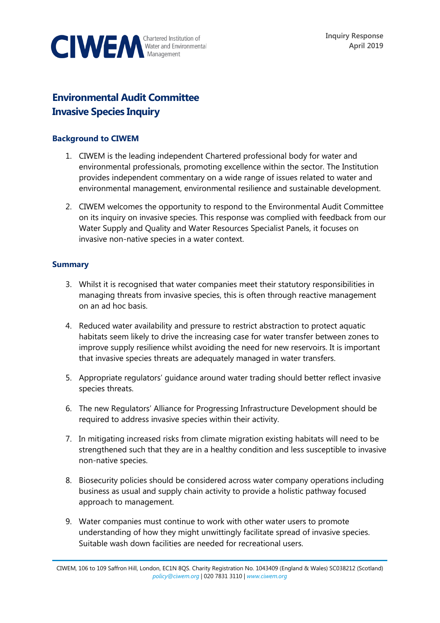

# **Environmental Audit Committee Invasive Species Inquiry**

## **Background to CIWEM**

- 1. CIWEM is the leading independent Chartered professional body for water and environmental professionals, promoting excellence within the sector. The Institution provides independent commentary on a wide range of issues related to water and environmental management, environmental resilience and sustainable development.
- 2. CIWEM welcomes the opportunity to respond to the Environmental Audit Committee on its inquiry on invasive species. This response was complied with feedback from our Water Supply and Quality and Water Resources Specialist Panels, it focuses on invasive non-native species in a water context.

## **Summary**

- 3. Whilst it is recognised that water companies meet their statutory responsibilities in managing threats from invasive species, this is often through reactive management on an ad hoc basis.
- 4. Reduced water availability and pressure to restrict abstraction to protect aquatic habitats seem likely to drive the increasing case for water transfer between zones to improve supply resilience whilst avoiding the need for new reservoirs. It is important that invasive species threats are adequately managed in water transfers.
- 5. Appropriate regulators' guidance around water trading should better reflect invasive species threats.
- 6. The new Regulators' Alliance for Progressing Infrastructure Development should be required to address invasive species within their activity.
- 7. In mitigating increased risks from climate migration existing habitats will need to be strengthened such that they are in a healthy condition and less susceptible to invasive non-native species.
- 8. Biosecurity policies should be considered across water company operations including business as usual and supply chain activity to provide a holistic pathway focused approach to management.
- 9. Water companies must continue to work with other water users to promote understanding of how they might unwittingly facilitate spread of invasive species. Suitable wash down facilities are needed for recreational users.

CIWEM, 106 to 109 Saffron Hill, London, EC1N 8QS. Charity Registration No. 1043409 (England & Wales) SC038212 (Scotland) *[policy@ciwem.org](mailto:policy@ciwem.org)* | 020 7831 3110 | *[www.ciwem.org](http://www.ciwem.org/)*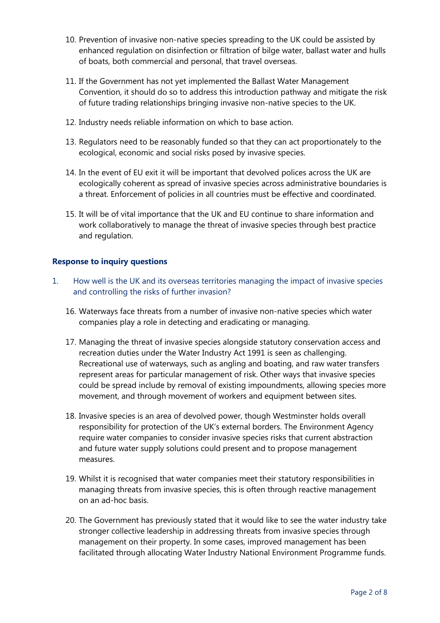- 10. Prevention of invasive non-native species spreading to the UK could be assisted by enhanced regulation on disinfection or filtration of bilge water, ballast water and hulls of boats, both commercial and personal, that travel overseas.
- 11. If the Government has not yet implemented the Ballast Water Management Convention, it should do so to address this introduction pathway and mitigate the risk of future trading relationships bringing invasive non-native species to the UK.
- 12. Industry needs reliable information on which to base action.
- 13. Regulators need to be reasonably funded so that they can act proportionately to the ecological, economic and social risks posed by invasive species.
- 14. In the event of EU exit it will be important that devolved polices across the UK are ecologically coherent as spread of invasive species across administrative boundaries is a threat. Enforcement of policies in all countries must be effective and coordinated.
- 15. It will be of vital importance that the UK and EU continue to share information and work collaboratively to manage the threat of invasive species through best practice and regulation.

## **Response to inquiry questions**

- 1. How well is the UK and its overseas territories managing the impact of invasive species and controlling the risks of further invasion?
	- 16. Waterways face threats from a number of invasive non-native species which water companies play a role in detecting and eradicating or managing.
	- 17. Managing the threat of invasive species alongside statutory conservation access and recreation duties under the Water Industry Act 1991 is seen as challenging. Recreational use of waterways, such as angling and boating, and raw water transfers represent areas for particular management of risk. Other ways that invasive species could be spread include by removal of existing impoundments, allowing species more movement, and through movement of workers and equipment between sites.
	- 18. Invasive species is an area of devolved power, though Westminster holds overall responsibility for protection of the UK's external borders. The Environment Agency require water companies to consider invasive species risks that current abstraction and future water supply solutions could present and to propose management measures.
	- 19. Whilst it is recognised that water companies meet their statutory responsibilities in managing threats from invasive species, this is often through reactive management on an ad-hoc basis.
	- 20. The Government has previously stated that it would like to see the water industry take stronger collective leadership in addressing threats from invasive species through management on their property. In some cases, improved management has been facilitated through allocating Water Industry National Environment Programme funds.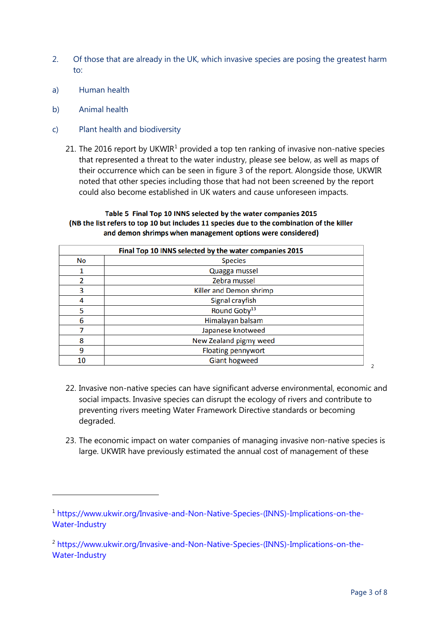- 2. Of those that are already in the UK, which invasive species are posing the greatest harm to:
- a) Human health
- b) Animal health

 $\overline{a}$ 

- c) Plant health and biodiversity
	- 2[1](#page-2-0). The 2016 report by UKWIR<sup>1</sup> provided a top ten ranking of invasive non-native species that represented a threat to the water industry, please see below, as well as maps of their occurrence which can be seen in figure 3 of the report. Alongside those, UKWIR noted that other species including those that had not been screened by the report could also become established in UK waters and cause unforeseen impacts.

#### Table 5 Final Top 10 INNS selected by the water companies 2015 (NB the list refers to top 10 but includes 11 species due to the combination of the killer and demon shrimps when management options were considered)

| Final Top 10 INNS selected by the water companies 2015 |                           |
|--------------------------------------------------------|---------------------------|
| No                                                     | <b>Species</b>            |
|                                                        | Quagga mussel             |
| 2                                                      | Zebra mussel              |
| 3                                                      | Killer and Demon shrimp   |
| 4                                                      | Signal crayfish           |
| 5                                                      | Round Goby <sup>13</sup>  |
| 6                                                      | Himalayan balsam          |
|                                                        | Japanese knotweed         |
| 8                                                      | New Zealand pigmy weed    |
| 9                                                      | <b>Floating pennywort</b> |
| 10                                                     | <b>Giant hogweed</b>      |

- 22. Invasive non-native species can have significant adverse environmental, economic and social impacts. Invasive species can disrupt the ecology of rivers and contribute to preventing rivers meeting Water Framework Directive standards or becoming degraded.
- 23. The economic impact on water companies of managing invasive non-native species is large. UKWIR have previously estimated the annual cost of management of these

[2](#page-2-1)

<span id="page-2-0"></span><sup>1</sup> [https://www.ukwir.org/Invasive-and-Non-Native-Species-\(INNS\)-Implications-on-the-](https://www.ukwir.org/Invasive-and-Non-Native-Species-(INNS)-Implications-on-the-Water-Industry)[Water-Industry](https://www.ukwir.org/Invasive-and-Non-Native-Species-(INNS)-Implications-on-the-Water-Industry)

<span id="page-2-1"></span><sup>&</sup>lt;sup>2</sup> [https://www.ukwir.org/Invasive-and-Non-Native-Species-\(INNS\)-Implications-on-the-](https://www.ukwir.org/Invasive-and-Non-Native-Species-(INNS)-Implications-on-the-Water-Industry)[Water-Industry](https://www.ukwir.org/Invasive-and-Non-Native-Species-(INNS)-Implications-on-the-Water-Industry)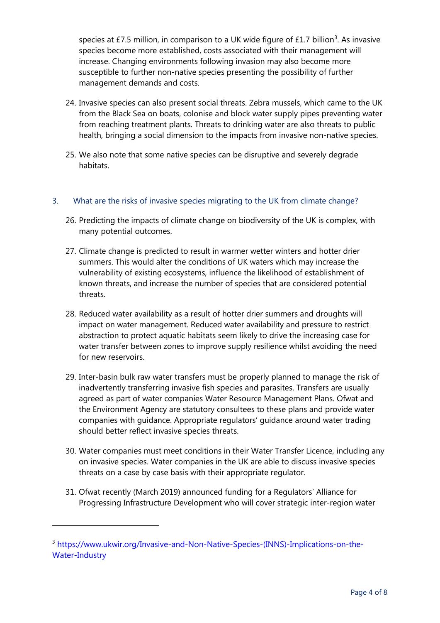species at £7.5 million, in comparison to a UK wide figure of £1.7 billion<sup>[3](#page-3-0)</sup>. As invasive species become more established, costs associated with their management will increase. Changing environments following invasion may also become more susceptible to further non-native species presenting the possibility of further management demands and costs.

- 24. Invasive species can also present social threats. Zebra mussels, which came to the UK from the Black Sea on boats, colonise and block water supply pipes preventing water from reaching treatment plants. Threats to drinking water are also threats to public health, bringing a social dimension to the impacts from invasive non-native species.
- 25. We also note that some native species can be disruptive and severely degrade habitats.

## 3. What are the risks of invasive species migrating to the UK from climate change?

- 26. Predicting the impacts of climate change on biodiversity of the UK is complex, with many potential outcomes.
- 27. Climate change is predicted to result in warmer wetter winters and hotter drier summers. This would alter the conditions of UK waters which may increase the vulnerability of existing ecosystems, influence the likelihood of establishment of known threats, and increase the number of species that are considered potential threats.
- 28. Reduced water availability as a result of hotter drier summers and droughts will impact on water management. Reduced water availability and pressure to restrict abstraction to protect aquatic habitats seem likely to drive the increasing case for water transfer between zones to improve supply resilience whilst avoiding the need for new reservoirs.
- 29. Inter-basin bulk raw water transfers must be properly planned to manage the risk of inadvertently transferring invasive fish species and parasites. Transfers are usually agreed as part of water companies Water Resource Management Plans. Ofwat and the Environment Agency are statutory consultees to these plans and provide water companies with guidance. Appropriate regulators' guidance around water trading should better reflect invasive species threats.
- 30. Water companies must meet conditions in their Water Transfer Licence, including any on invasive species. Water companies in the UK are able to discuss invasive species threats on a case by case basis with their appropriate regulator.
- 31. Ofwat recently (March 2019) announced funding for a Regulators' Alliance for Progressing Infrastructure Development who will cover strategic inter-region water

<span id="page-3-0"></span><sup>&</sup>lt;sup>3</sup> [https://www.ukwir.org/Invasive-and-Non-Native-Species-\(INNS\)-Implications-on-the-](https://www.ukwir.org/Invasive-and-Non-Native-Species-(INNS)-Implications-on-the-Water-Industry)[Water-Industry](https://www.ukwir.org/Invasive-and-Non-Native-Species-(INNS)-Implications-on-the-Water-Industry)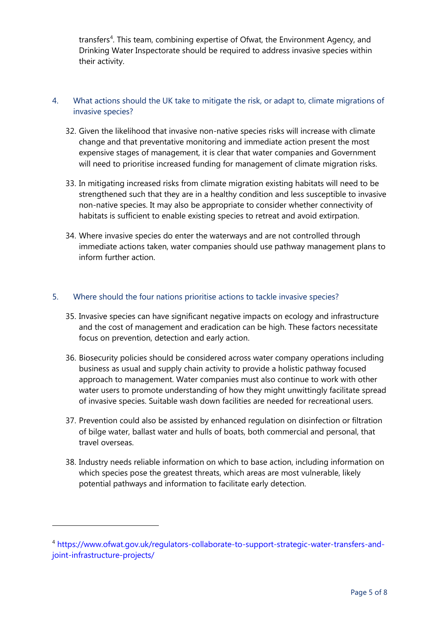transfers<sup>[4](#page-4-0)</sup>. This team, combining expertise of Ofwat, the Environment Agency, and Drinking Water Inspectorate should be required to address invasive species within their activity.

## 4. What actions should the UK take to mitigate the risk, or adapt to, climate migrations of invasive species?

- 32. Given the likelihood that invasive non-native species risks will increase with climate change and that preventative monitoring and immediate action present the most expensive stages of management, it is clear that water companies and Government will need to prioritise increased funding for management of climate migration risks.
- 33. In mitigating increased risks from climate migration existing habitats will need to be strengthened such that they are in a healthy condition and less susceptible to invasive non-native species. It may also be appropriate to consider whether connectivity of habitats is sufficient to enable existing species to retreat and avoid extirpation.
- 34. Where invasive species do enter the waterways and are not controlled through immediate actions taken, water companies should use pathway management plans to inform further action.

### 5. Where should the four nations prioritise actions to tackle invasive species?

- 35. Invasive species can have significant negative impacts on ecology and infrastructure and the cost of management and eradication can be high. These factors necessitate focus on prevention, detection and early action.
- 36. Biosecurity policies should be considered across water company operations including business as usual and supply chain activity to provide a holistic pathway focused approach to management. Water companies must also continue to work with other water users to promote understanding of how they might unwittingly facilitate spread of invasive species. Suitable wash down facilities are needed for recreational users.
- 37. Prevention could also be assisted by enhanced regulation on disinfection or filtration of bilge water, ballast water and hulls of boats, both commercial and personal, that travel overseas.
- 38. Industry needs reliable information on which to base action, including information on which species pose the greatest threats, which areas are most vulnerable, likely potential pathways and information to facilitate early detection.

<span id="page-4-0"></span><sup>4</sup> [https://www.ofwat.gov.uk/regulators-collaborate-to-support-strategic-water-transfers-and](https://www.ofwat.gov.uk/regulators-collaborate-to-support-strategic-water-transfers-and-joint-infrastructure-projects/)[joint-infrastructure-projects/](https://www.ofwat.gov.uk/regulators-collaborate-to-support-strategic-water-transfers-and-joint-infrastructure-projects/)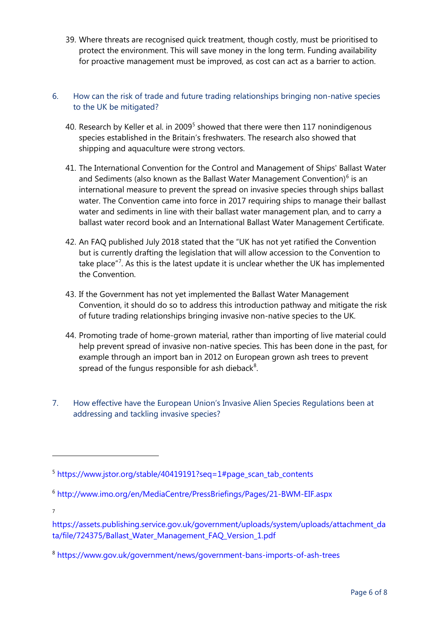39. Where threats are recognised quick treatment, though costly, must be prioritised to protect the environment. This will save money in the long term. Funding availability for proactive management must be improved, as cost can act as a barrier to action.

## 6. How can the risk of trade and future trading relationships bringing non-native species to the UK be mitigated?

- 40. Research by Keller et al. in 2009<sup>[5](#page-5-0)</sup> showed that there were then 117 nonindigenous species established in the Britain's freshwaters. The research also showed that shipping and aquaculture were strong vectors.
- 41. The International Convention for the Control and Management of Ships' Ballast Water and Sediments (also known as the Ballast Water Management Convention) $<sup>6</sup>$  $<sup>6</sup>$  $<sup>6</sup>$  is an</sup> international measure to prevent the spread on invasive species through ships ballast water. The Convention came into force in 2017 requiring ships to manage their ballast water and sediments in line with their ballast water management plan, and to carry a ballast water record book and an International Ballast Water Management Certificate.
- 42. An FAQ published July 2018 stated that the "UK has not yet ratified the Convention but is currently drafting the legislation that will allow accession to the Convention to take place"<sup>[7](#page-5-2)</sup>. As this is the latest update it is unclear whether the UK has implemented the Convention.
- 43. If the Government has not yet implemented the Ballast Water Management Convention, it should do so to address this introduction pathway and mitigate the risk of future trading relationships bringing invasive non-native species to the UK.
- 44. Promoting trade of home-grown material, rather than importing of live material could help prevent spread of invasive non-native species. This has been done in the past, for example through an import ban in 2012 on European grown ash trees to prevent spread of the fungus responsible for ash dieback<sup>[8](#page-5-3)</sup>.
- 7. How effective have the European Union's Invasive Alien Species Regulations been at addressing and tackling invasive species?

7

<span id="page-5-0"></span> $5$  [https://www.jstor.org/stable/40419191?seq=1#page\\_scan\\_tab\\_contents](https://www.jstor.org/stable/40419191?seq=1#page_scan_tab_contents)

<span id="page-5-1"></span><sup>6</sup> <http://www.imo.org/en/MediaCentre/PressBriefings/Pages/21-BWM-EIF.aspx>

<span id="page-5-2"></span>[https://assets.publishing.service.gov.uk/government/uploads/system/uploads/attachment\\_da](https://assets.publishing.service.gov.uk/government/uploads/system/uploads/attachment_data/file/724375/Ballast_Water_Management_FAQ_Version_1.pdf) [ta/file/724375/Ballast\\_Water\\_Management\\_FAQ\\_Version\\_1.pdf](https://assets.publishing.service.gov.uk/government/uploads/system/uploads/attachment_data/file/724375/Ballast_Water_Management_FAQ_Version_1.pdf)

<span id="page-5-3"></span><sup>8</sup> <https://www.gov.uk/government/news/government-bans-imports-of-ash-trees>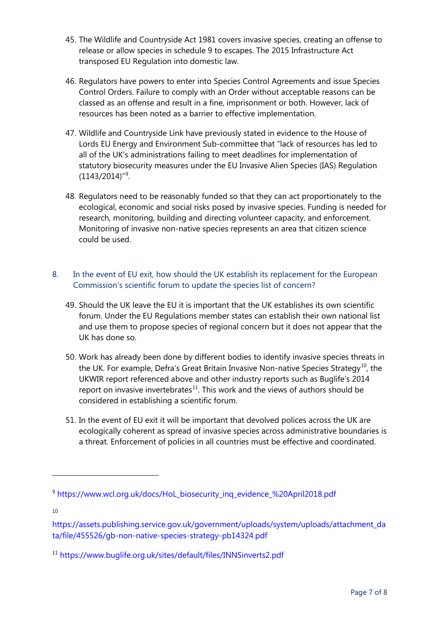- 45. The Wildlife and Countryside Act 1981 covers invasive species, creating an offense to release or allow species in schedule 9 to escapes. The 2015 Infrastructure Act transposed EU Regulation into domestic law.
- 46. Regulators have powers to enter into Species Control Agreements and issue Species Control Orders. Failure to comply with an Order without acceptable reasons can be classed as an offense and result in a fine, imprisonment or both. However, lack of resources has been noted as a barrier to effective implementation.
- 47. Wildlife and Countryside Link have previously stated in evidence to the House of Lords EU Energy and Environment Sub-committee that "lack of resources has led to all of the UK's administrations failing to meet deadlines for implementation of statutory biosecurity measures under the EU Invasive Alien Species (IAS) Regulation  $(1143/2014)^{''9}$  $(1143/2014)^{''9}$  $(1143/2014)^{''9}$ .
- 48. Regulators need to be reasonably funded so that they can act proportionately to the ecological, economic and social risks posed by invasive species. Funding is needed for research, monitoring, building and directing volunteer capacity, and enforcement. Monitoring of invasive non-native species represents an area that citizen science could be used.
- 8. In the event of EU exit, how should the UK establish its replacement for the European Commission's scientific forum to update the species list of concern?
	- 49. Should the UK leave the EU it is important that the UK establishes its own scientific forum. Under the EU Regulations member states can establish their own national list and use them to propose species of regional concern but it does not appear that the UK has done so.
	- 50. Work has already been done by different bodies to identify invasive species threats in the UK. For example, Defra's Great Britain Invasive Non-native Species Strategy<sup>[10](#page-6-1)</sup>, the UKWIR report referenced above and other industry reports such as Buglife's 2014 report on invasive invertebrates $11$ . This work and the views of authors should be considered in establishing a scientific forum.
	- 51. In the event of EU exit it will be important that devolved polices across the UK are ecologically coherent as spread of invasive species across administrative boundaries is a threat. Enforcement of policies in all countries must be effective and coordinated.

10

<span id="page-6-0"></span><sup>9</sup> [https://www.wcl.org.uk/docs/HoL\\_biosecurity\\_inq\\_evidence\\_%20April2018.pdf](https://www.wcl.org.uk/docs/HoL_biosecurity_inq_evidence_%20April2018.pdf)

<span id="page-6-1"></span>[https://assets.publishing.service.gov.uk/government/uploads/system/uploads/attachment\\_da](https://assets.publishing.service.gov.uk/government/uploads/system/uploads/attachment_data/file/455526/gb-non-native-species-strategy-pb14324.pdf) [ta/file/455526/gb-non-native-species-strategy-pb14324.pdf](https://assets.publishing.service.gov.uk/government/uploads/system/uploads/attachment_data/file/455526/gb-non-native-species-strategy-pb14324.pdf)

<span id="page-6-2"></span><sup>11</sup> <https://www.buglife.org.uk/sites/default/files/INNSinverts2.pdf>